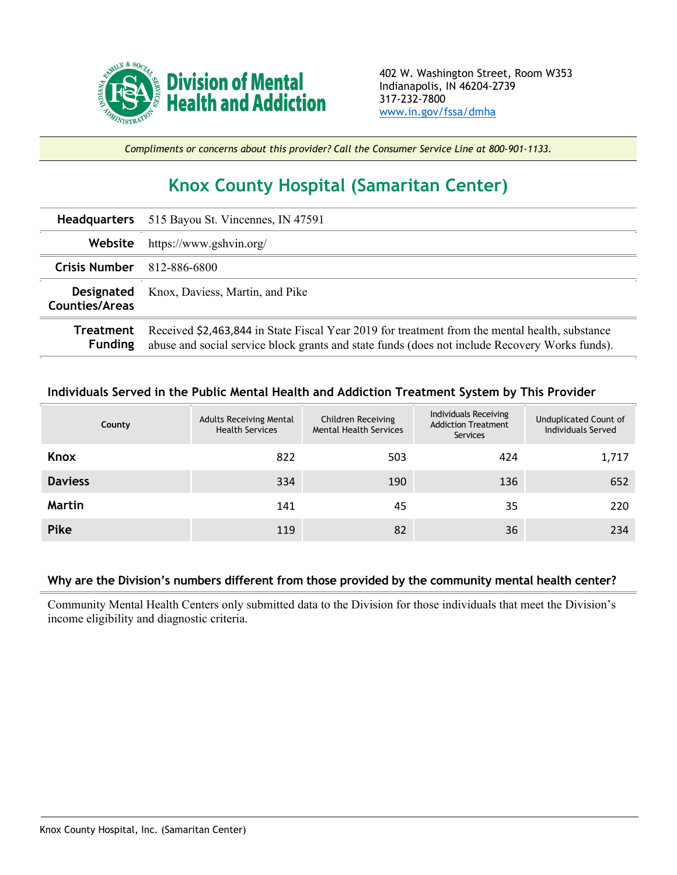

*Compliments or concerns about this provider? Call the Consumer Service Line at 800-901-1133.*

## **Knox County Hospital (Samaritan Center)**

| <b>Headquarters</b>                        | 515 Bayou St. Vincennes, IN 47591                                                                                                                                                                |  |  |  |  |
|--------------------------------------------|--------------------------------------------------------------------------------------------------------------------------------------------------------------------------------------------------|--|--|--|--|
| Website                                    | https://www.gshvin.org/                                                                                                                                                                          |  |  |  |  |
| <b>Crisis Number</b>                       | 812-886-6800                                                                                                                                                                                     |  |  |  |  |
| <b>Designated</b><br><b>Counties/Areas</b> | Knox, Daviess, Martin, and Pike                                                                                                                                                                  |  |  |  |  |
| <b>Treatment</b><br><b>Funding</b>         | Received \$2,463,844 in State Fiscal Year 2019 for treatment from the mental health, substance<br>abuse and social service block grants and state funds (does not include Recovery Works funds). |  |  |  |  |

## **Individuals Served in the Public Mental Health and Addiction Treatment System by This Provider**

|                | County | <b>Adults Receiving Mental</b><br><b>Health Services</b> | Children Receiving<br><b>Mental Health Services</b> | Individuals Receiving<br><b>Addiction Treatment</b><br><b>Services</b> | Unduplicated Count of<br><b>Individuals Served</b> |
|----------------|--------|----------------------------------------------------------|-----------------------------------------------------|------------------------------------------------------------------------|----------------------------------------------------|
| Knox           |        | 822                                                      | 503                                                 | 424                                                                    | 1,717                                              |
| <b>Daviess</b> |        | 334                                                      | 190                                                 | 136                                                                    | 652                                                |
| Martin         |        | 141                                                      | 45                                                  | 35                                                                     | 220                                                |
| Pike           |        | 119                                                      | 82                                                  | 36                                                                     | 234                                                |

## **Why are the Division's numbers different from those provided by the community mental health center?**

Community Mental Health Centers only submitted data to the Division for those individuals that meet the Division's income eligibility and diagnostic criteria.